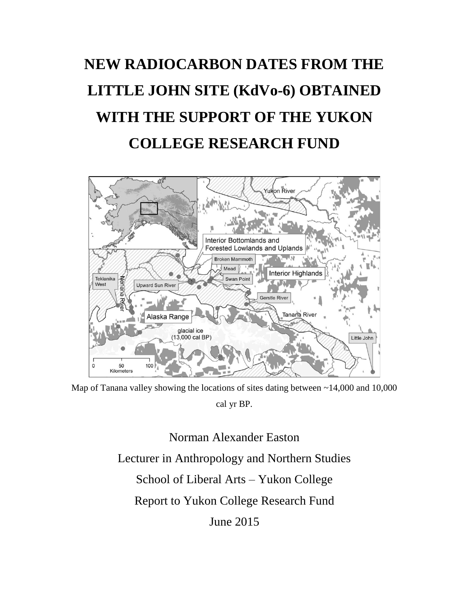## **NEW RADIOCARBON DATES FROM THE LITTLE JOHN SITE (KdVo-6) OBTAINED WITH THE SUPPORT OF THE YUKON COLLEGE RESEARCH FUND**



Map of Tanana valley showing the locations of sites dating between ~14,000 and 10,000 cal yr BP.

Norman Alexander Easton Lecturer in Anthropology and Northern Studies School of Liberal Arts – Yukon College Report to Yukon College Research Fund June 2015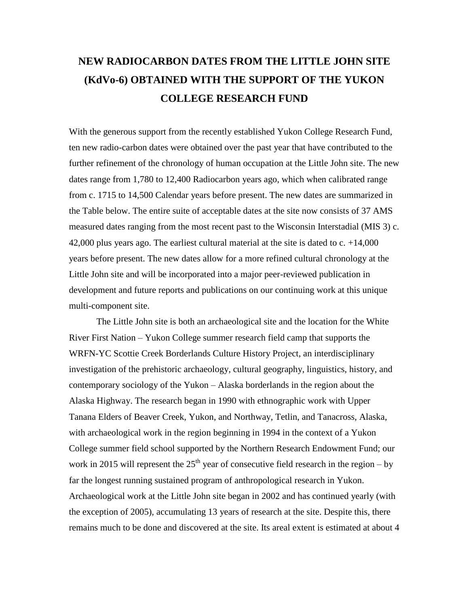## **NEW RADIOCARBON DATES FROM THE LITTLE JOHN SITE (KdVo-6) OBTAINED WITH THE SUPPORT OF THE YUKON COLLEGE RESEARCH FUND**

With the generous support from the recently established Yukon College Research Fund, ten new radio-carbon dates were obtained over the past year that have contributed to the further refinement of the chronology of human occupation at the Little John site. The new dates range from 1,780 to 12,400 Radiocarbon years ago, which when calibrated range from c. 1715 to 14,500 Calendar years before present. The new dates are summarized in the Table below. The entire suite of acceptable dates at the site now consists of 37 AMS measured dates ranging from the most recent past to the Wisconsin Interstadial (MIS 3) c. 42,000 plus years ago. The earliest cultural material at the site is dated to c. +14,000 years before present. The new dates allow for a more refined cultural chronology at the Little John site and will be incorporated into a major peer-reviewed publication in development and future reports and publications on our continuing work at this unique multi-component site.

The Little John site is both an archaeological site and the location for the White River First Nation – Yukon College summer research field camp that supports the WRFN-YC Scottie Creek Borderlands Culture History Project, an interdisciplinary investigation of the prehistoric archaeology, cultural geography, linguistics, history, and contemporary sociology of the Yukon – Alaska borderlands in the region about the Alaska Highway. The research began in 1990 with ethnographic work with Upper Tanana Elders of Beaver Creek, Yukon, and Northway, Tetlin, and Tanacross, Alaska, with archaeological work in the region beginning in 1994 in the context of a Yukon College summer field school supported by the Northern Research Endowment Fund; our work in 2015 will represent the  $25<sup>th</sup>$  year of consecutive field research in the region – by far the longest running sustained program of anthropological research in Yukon. Archaeological work at the Little John site began in 2002 and has continued yearly (with the exception of 2005), accumulating 13 years of research at the site. Despite this, there remains much to be done and discovered at the site. Its areal extent is estimated at about 4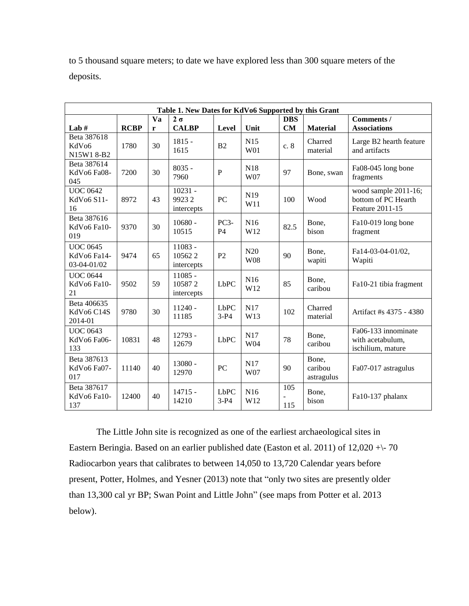to 5 thousand square meters; to date we have explored less than 300 square meters of the deposits.

| Table 1. New Dates for KdVo6 Supported by this Grant |             |             |                     |                   |                 |            |                 |                         |  |
|------------------------------------------------------|-------------|-------------|---------------------|-------------------|-----------------|------------|-----------------|-------------------------|--|
|                                                      |             | <b>Va</b>   | $2\sigma$           |                   |                 | <b>DBS</b> |                 | Comments /              |  |
| Lab#                                                 | <b>RCBP</b> | $\mathbf r$ | <b>CALBP</b>        | Level             | Unit            | CM         | <b>Material</b> | <b>Associations</b>     |  |
| Beta 387618                                          |             |             | $1815 -$            |                   | N15             |            | Charred         | Large B2 hearth feature |  |
| KdV <sub>06</sub>                                    | 1780        | 30          | 1615                | B <sub>2</sub>    | W01             | c. 8       | material        | and artifacts           |  |
| N15W18-B2<br>Beta 387614                             |             |             |                     |                   |                 |            |                 |                         |  |
| KdVo6 Fa08-                                          | 7200        | 30          | $8035 -$<br>7960    | P                 | N18<br>W07      | 97         | Bone, swan      | Fa08-045 long bone      |  |
| 045                                                  |             |             |                     |                   |                 |            |                 | fragments               |  |
| <b>UOC 0642</b>                                      |             |             | $10231 -$           |                   |                 |            |                 | wood sample 2011-16;    |  |
| KdVo6 S11-                                           | 8972        | 43          | 99232               | PC                | N19<br>W11      | 100        | Wood            | bottom of PC Hearth     |  |
| 16                                                   |             |             | intercepts          |                   |                 |            |                 | Feature 2011-15         |  |
| Beta 387616                                          |             |             | $10680 -$           | PC <sub>3</sub> - | N <sub>16</sub> |            | Bone,           | Fa10-019 long bone      |  |
| KdVo6 Fa10-                                          | 9370        | 30          | 10515               | P <sub>4</sub>    | W12             | 82.5       | bison           | fragment                |  |
| 019                                                  |             |             |                     |                   |                 |            |                 |                         |  |
| <b>UOC 0645</b>                                      |             |             | 11083 -             |                   | N20             |            | Bone,           | Fa14-03-04-01/02,       |  |
| KdVo6 Fa14-<br>03-04-01/02                           | 9474        | 65          | 105622              | P <sub>2</sub>    | <b>W08</b>      | 90         | wapiti          | Wapiti                  |  |
|                                                      |             |             | intercepts          |                   |                 |            |                 |                         |  |
| <b>UOC 0644</b><br>KdVo6 Fa10-                       | 9502        | 59          | $11085 -$<br>105872 | LbPC              | N <sub>16</sub> | 85         | Bone,           | Fa10-21 tibia fragment  |  |
| 21                                                   |             |             | intercepts          |                   | W12             |            | caribou         |                         |  |
| Beta 406635                                          |             |             |                     |                   |                 |            |                 |                         |  |
| KdVo6 C14S                                           | 9780        | 30          | $11240 -$           | LbPC              | N17             | 102        | Charred         | Artifact #s 4375 - 4380 |  |
| 2014-01                                              |             |             | 11185               | $3-P4$            | W13             |            | material        |                         |  |
| <b>UOC 0643</b>                                      |             |             | 12793 -             |                   | N17             |            | Bone.           | Fa06-133 innominate     |  |
| KdVo6 Fa06-                                          | 10831       | 48          | 12679               | <b>LbPC</b>       | W04             | 78         | caribou         | with acetabulum,        |  |
| 133                                                  |             |             |                     |                   |                 |            |                 | ischilium, mature       |  |
| Beta 387613                                          |             |             | 13080 -             |                   | N17             |            | Bone,           |                         |  |
| KdVo6 Fa07-                                          | 11140       | 40          | 12970               | PC                | W07             | 90         | caribou         | Fa07-017 astragulus     |  |
| 017                                                  |             |             |                     |                   |                 |            | astragulus      |                         |  |
| Beta 387617                                          |             |             | $14715 -$           | LbPC              | N <sub>16</sub> | 105        | Bone,           |                         |  |
| KdVo6 Fa10-<br>137                                   | 12400       | 40          | 14210               | $3-P4$            | W12             | 115        | bison           | Fa10-137 phalanx        |  |
|                                                      |             |             |                     |                   |                 |            |                 |                         |  |

The Little John site is recognized as one of the earliest archaeological sites in Eastern Beringia. Based on an earlier published date (Easton et al. 2011) of 12,020 +\- 70 Radiocarbon years that calibrates to between 14,050 to 13,720 Calendar years before present, Potter, Holmes, and Yesner (2013) note that "only two sites are presently older than 13,300 cal yr BP; Swan Point and Little John" (see maps from Potter et al. 2013 below).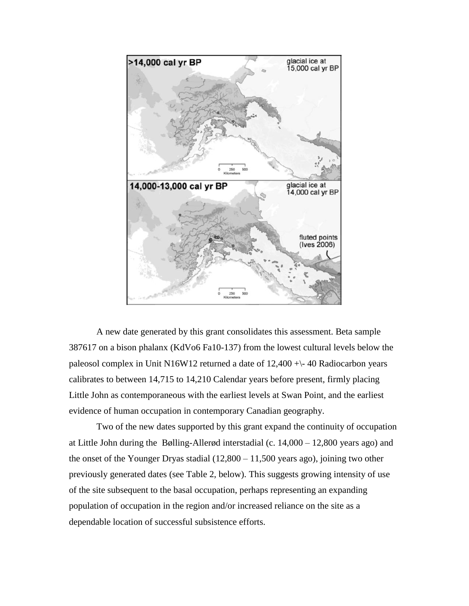

A new date generated by this grant consolidates this assessment. Beta sample 387617 on a bison phalanx (KdVo6 Fa10-137) from the lowest cultural levels below the paleosol complex in Unit N16W12 returned a date of 12,400 +\- 40 Radiocarbon years calibrates to between 14,715 to 14,210 Calendar years before present, firmly placing Little John as contemporaneous with the earliest levels at Swan Point, and the earliest evidence of human occupation in contemporary Canadian geography.

Two of the new dates supported by this grant expand the continuity of occupation at Little John during the Bølling-Allerød interstadial (c. 14,000 – 12,800 years ago) and the onset of the Younger Dryas stadial (12,800 – 11,500 years ago), joining two other previously generated dates (see Table 2, below). This suggests growing intensity of use of the site subsequent to the basal occupation, perhaps representing an expanding population of occupation in the region and/or increased reliance on the site as a dependable location of successful subsistence efforts.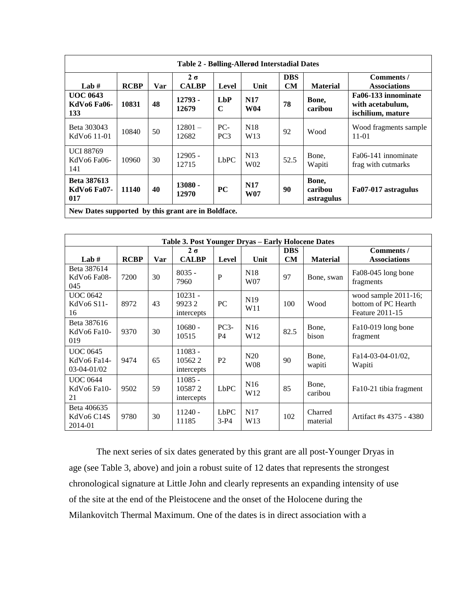| Table 2 - Bølling-Allerød Interstadial Dates                    |             |     |                            |                          |                                    |                  |                                |                                                              |
|-----------------------------------------------------------------|-------------|-----|----------------------------|--------------------------|------------------------------------|------------------|--------------------------------|--------------------------------------------------------------|
| Lab $#$                                                         | <b>RCBP</b> | Var | $2 \sigma$<br><b>CALBP</b> | Level                    | Unit                               | <b>DBS</b><br>CM | <b>Material</b>                | Comments /<br><b>Associations</b>                            |
| <b>UOC 0643</b><br>KdVo6 Fa06-<br>133                           | 10831       | 48  | $12793 -$<br>12679         | LbP<br>$\mathbf C$       | <b>N17</b><br><b>W04</b>           | 78               | Bone,<br>caribou               | Fa06-133 innominate<br>with acetabulum,<br>ischilium, mature |
| Beta 303043<br>KdV <sub>06</sub> 11-01                          | 10840       | 50  | $12801 -$<br>12682         | $PC-$<br>PC <sub>3</sub> | N <sub>18</sub><br>W <sub>13</sub> | 92               | Wood                           | Wood fragments sample<br>$11-01$                             |
| <b>UCI 88769</b><br>KdV <sub>06</sub> Fa <sub>06</sub> -<br>141 | 10960       | 30  | $12905 -$<br>12715         | LbPC                     | N13<br>W <sub>02</sub>             | 52.5             | Bone,<br>Wapiti                | Fa06-141 innominate<br>frag with cutmarks                    |
| <b>Beta 387613</b><br><b>KdVo6 Fa07-</b><br>017                 | 11140       | 40  | $13080 -$<br>12970         | <b>PC</b>                | <b>N17</b><br><b>W07</b>           | 90               | Bone,<br>caribou<br>astragulus | Fa07-017 astragulus                                          |
| New Dates supported by this grant are in Boldface.              |             |     |                            |                          |                                    |                  |                                |                                                              |

| Table 3. Post Younger Dryas - Early Holocene Dates                       |             |     |                                   |                          |                                    |                  |                     |                                                                |  |
|--------------------------------------------------------------------------|-------------|-----|-----------------------------------|--------------------------|------------------------------------|------------------|---------------------|----------------------------------------------------------------|--|
| Lab#                                                                     | <b>RCBP</b> | Var | $2 \sigma$<br><b>CALBP</b>        | Level                    | Unit                               | <b>DBS</b><br>CM | <b>Material</b>     | Comments /<br><b>Associations</b>                              |  |
| Beta 387614<br>KdVo <sub>6</sub> Fa <sub>08</sub> -<br>045               | 7200        | 30  | $8035 -$<br>7960                  | $\mathbf{P}$             | N <sub>18</sub><br>W <sub>07</sub> | 97               | Bone, swan          | Fa08-045 long bone<br>fragments                                |  |
| <b>UOC 0642</b><br>KdV <sub>06</sub> S <sub>11</sub> -<br>16             | 8972        | 43  | $10231 -$<br>99232<br>intercepts  | PC                       | N <sub>19</sub><br>W <sub>11</sub> | 100              | Wood                | wood sample 2011-16;<br>bottom of PC Hearth<br>Feature 2011-15 |  |
| Beta 387616<br>KdVo6 Fa10-<br>019                                        | 9370        | 30  | $10680 -$<br>10515                | $PC3-$<br>P <sub>4</sub> | N <sub>16</sub><br>W <sub>12</sub> | 82.5             | Bone,<br>bison      | Fa10-019 long bone<br>fragment                                 |  |
| <b>UOC 0645</b><br>KdV <sub>06</sub> Fa <sub>14</sub> -<br>$03-04-01/02$ | 9474        | 65  | $11083 -$<br>105622<br>intercepts | P <sub>2</sub>           | N <sub>20</sub><br>W <sub>08</sub> | 90               | Bone,<br>wapiti     | Fa14-03-04-01/02,<br>Wapiti                                    |  |
| <b>UOC 0644</b><br>KdVo <sub>6</sub> Fa10-<br>21                         | 9502        | 59  | $11085 -$<br>105872<br>intercepts | <b>LbPC</b>              | N16<br>W <sub>12</sub>             | 85               | Bone,<br>caribou    | Fa10-21 tibia fragment                                         |  |
| Beta 406635<br>KdVo6 C14S<br>2014-01                                     | 9780        | 30  | $11240 -$<br>11185                | <b>LbPC</b><br>$3-P4$    | N <sub>17</sub><br>W <sub>13</sub> | 102              | Charred<br>material | Artifact #s 4375 - 4380                                        |  |

The next series of six dates generated by this grant are all post-Younger Dryas in age (see Table 3, above) and join a robust suite of 12 dates that represents the strongest chronological signature at Little John and clearly represents an expanding intensity of use of the site at the end of the Pleistocene and the onset of the Holocene during the Milankovitch Thermal Maximum. One of the dates is in direct association with a